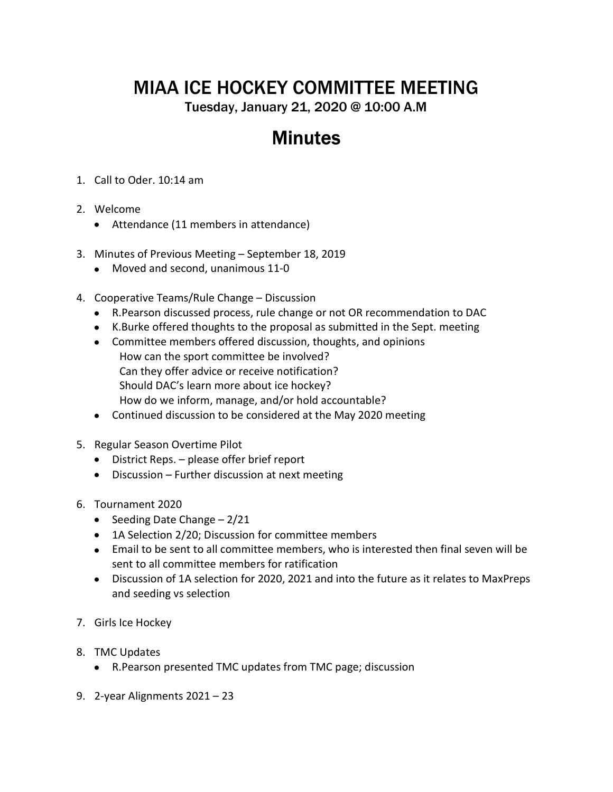## MIAA ICE HOCKEY COMMITTEE MEETING

Tuesday, January 21, 2020 @ 10:00 A.M

## **Minutes**

- 1. Call to Oder. 10:14 am
- 2. Welcome
	- Attendance (11 members in attendance)
- 3. Minutes of Previous Meeting September 18, 2019
	- Moved and second, unanimous 11-0
- 4. Cooperative Teams/Rule Change Discussion
	- R.Pearson discussed process, rule change or not OR recommendation to DAC
	- K.Burke offered thoughts to the proposal as submitted in the Sept. meeting
	- Committee members offered discussion, thoughts, and opinions How can the sport committee be involved? Can they offer advice or receive notification? Should DAC's learn more about ice hockey? How do we inform, manage, and/or hold accountable?
	- Continued discussion to be considered at the May 2020 meeting
- 5. Regular Season Overtime Pilot
	- District Reps. please offer brief report
	- Discussion Further discussion at next meeting
- 6. Tournament 2020
	- Seeding Date Change  $-2/21$
	- 1A Selection 2/20; Discussion for committee members
	- Email to be sent to all committee members, who is interested then final seven will be sent to all committee members for ratification
	- Discussion of 1A selection for 2020, 2021 and into the future as it relates to MaxPreps and seeding vs selection
- 7. Girls Ice Hockey
- 8. TMC Updates
	- R.Pearson presented TMC updates from TMC page; discussion
- 9. 2-year Alignments 2021 23